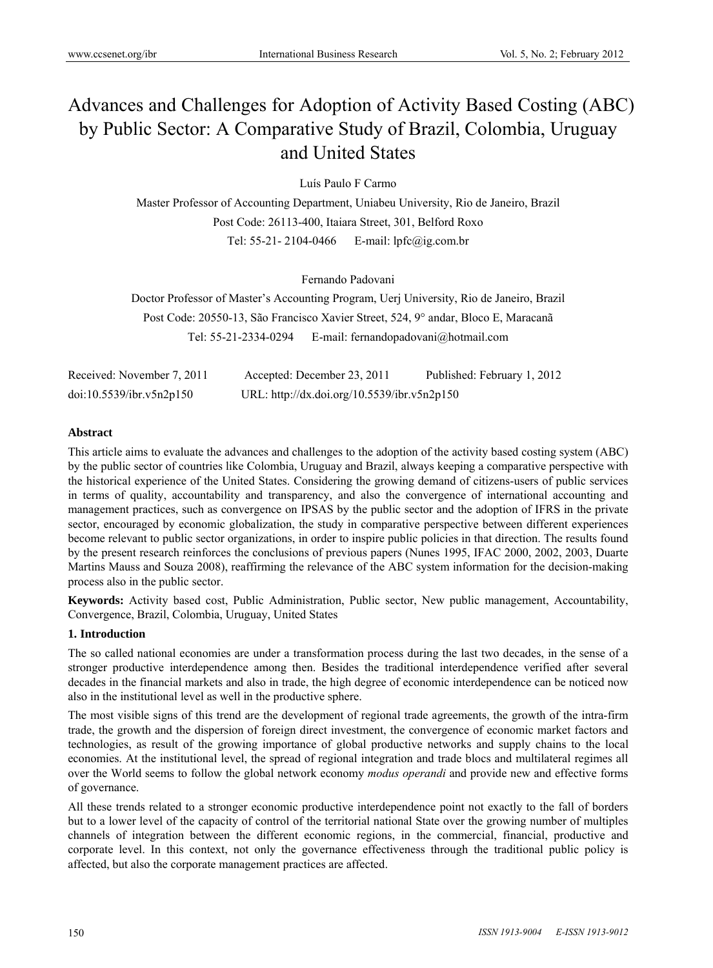# Advances and Challenges for Adoption of Activity Based Costing (ABC) by Public Sector: A Comparative Study of Brazil, Colombia, Uruguay and United States

Luís Paulo F Carmo

Master Professor of Accounting Department, Uniabeu University, Rio de Janeiro, Brazil Post Code: 26113-400, Itaiara Street, 301, Belford Roxo Tel: 55-21- 2104-0466 E-mail: lpfc@ig.com.br

Fernando Padovani

Doctor Professor of Master's Accounting Program, Uerj University, Rio de Janeiro, Brazil Post Code: 20550-13, São Francisco Xavier Street, 524, 9° andar, Bloco E, Maracanã Tel: 55-21-2334-0294 E-mail: fernandopadovani@hotmail.com

| Received: November 7, 2011 | Accepted: December 23, 2011                 | Published: February 1, 2012 |
|----------------------------|---------------------------------------------|-----------------------------|
| doi:10.5539/ibr.v5n2p150   | URL: http://dx.doi.org/10.5539/ibr.v5n2p150 |                             |

#### **Abstract**

This article aims to evaluate the advances and challenges to the adoption of the activity based costing system (ABC) by the public sector of countries like Colombia, Uruguay and Brazil, always keeping a comparative perspective with the historical experience of the United States. Considering the growing demand of citizens-users of public services in terms of quality, accountability and transparency, and also the convergence of international accounting and management practices, such as convergence on IPSAS by the public sector and the adoption of IFRS in the private sector, encouraged by economic globalization, the study in comparative perspective between different experiences become relevant to public sector organizations, in order to inspire public policies in that direction. The results found by the present research reinforces the conclusions of previous papers (Nunes 1995, IFAC 2000, 2002, 2003, Duarte Martins Mauss and Souza 2008), reaffirming the relevance of the ABC system information for the decision-making process also in the public sector.

**Keywords:** Activity based cost, Public Administration, Public sector, New public management, Accountability, Convergence, Brazil, Colombia, Uruguay, United States

#### **1. Introduction**

The so called national economies are under a transformation process during the last two decades, in the sense of a stronger productive interdependence among then. Besides the traditional interdependence verified after several decades in the financial markets and also in trade, the high degree of economic interdependence can be noticed now also in the institutional level as well in the productive sphere.

The most visible signs of this trend are the development of regional trade agreements, the growth of the intra-firm trade, the growth and the dispersion of foreign direct investment, the convergence of economic market factors and technologies, as result of the growing importance of global productive networks and supply chains to the local economies. At the institutional level, the spread of regional integration and trade blocs and multilateral regimes all over the World seems to follow the global network economy *modus operandi* and provide new and effective forms of governance.

All these trends related to a stronger economic productive interdependence point not exactly to the fall of borders but to a lower level of the capacity of control of the territorial national State over the growing number of multiples channels of integration between the different economic regions, in the commercial, financial, productive and corporate level. In this context, not only the governance effectiveness through the traditional public policy is affected, but also the corporate management practices are affected.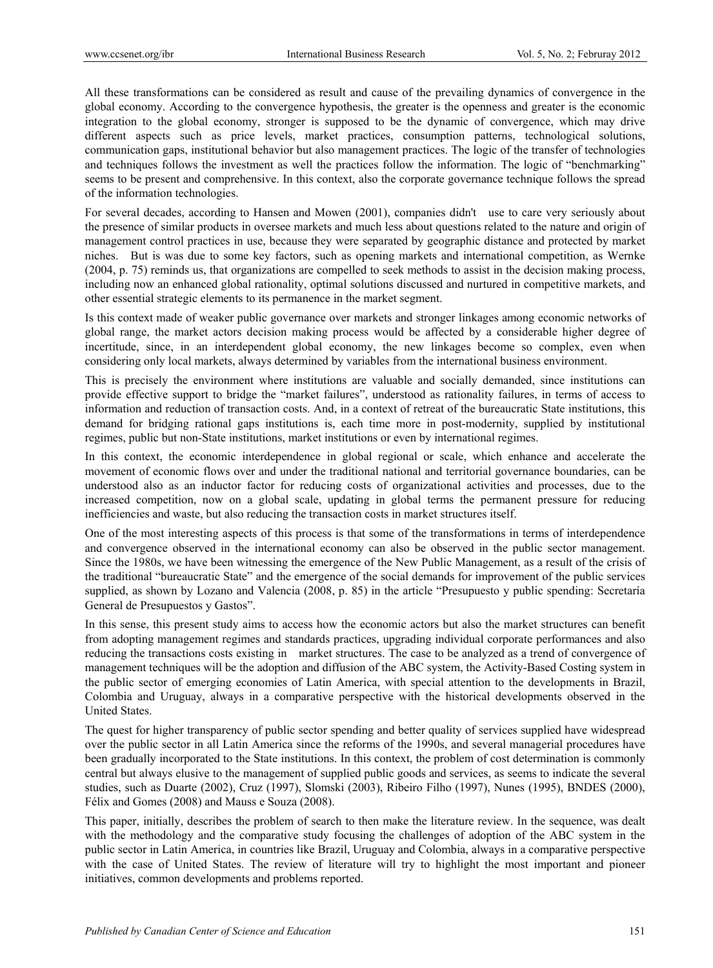All these transformations can be considered as result and cause of the prevailing dynamics of convergence in the global economy. According to the convergence hypothesis, the greater is the openness and greater is the economic integration to the global economy, stronger is supposed to be the dynamic of convergence, which may drive different aspects such as price levels, market practices, consumption patterns, technological solutions, communication gaps, institutional behavior but also management practices. The logic of the transfer of technologies and techniques follows the investment as well the practices follow the information. The logic of "benchmarking" seems to be present and comprehensive. In this context, also the corporate governance technique follows the spread of the information technologies.

For several decades, according to Hansen and Mowen (2001), companies didn't use to care very seriously about the presence of similar products in oversee markets and much less about questions related to the nature and origin of management control practices in use, because they were separated by geographic distance and protected by market niches. But is was due to some key factors, such as opening markets and international competition, as Wernke (2004, p. 75) reminds us, that organizations are compelled to seek methods to assist in the decision making process, including now an enhanced global rationality, optimal solutions discussed and nurtured in competitive markets, and other essential strategic elements to its permanence in the market segment.

Is this context made of weaker public governance over markets and stronger linkages among economic networks of global range, the market actors decision making process would be affected by a considerable higher degree of incertitude, since, in an interdependent global economy, the new linkages become so complex, even when considering only local markets, always determined by variables from the international business environment.

This is precisely the environment where institutions are valuable and socially demanded, since institutions can provide effective support to bridge the "market failures", understood as rationality failures, in terms of access to information and reduction of transaction costs. And, in a context of retreat of the bureaucratic State institutions, this demand for bridging rational gaps institutions is, each time more in post-modernity, supplied by institutional regimes, public but non-State institutions, market institutions or even by international regimes.

In this context, the economic interdependence in global regional or scale, which enhance and accelerate the movement of economic flows over and under the traditional national and territorial governance boundaries, can be understood also as an inductor factor for reducing costs of organizational activities and processes, due to the increased competition, now on a global scale, updating in global terms the permanent pressure for reducing inefficiencies and waste, but also reducing the transaction costs in market structures itself.

One of the most interesting aspects of this process is that some of the transformations in terms of interdependence and convergence observed in the international economy can also be observed in the public sector management. Since the 1980s, we have been witnessing the emergence of the New Public Management, as a result of the crisis of the traditional "bureaucratic State" and the emergence of the social demands for improvement of the public services supplied, as shown by Lozano and Valencia (2008, p. 85) in the article "Presupuesto y public spending: Secretaría General de Presupuestos y Gastos".

In this sense, this present study aims to access how the economic actors but also the market structures can benefit from adopting management regimes and standards practices, upgrading individual corporate performances and also reducing the transactions costs existing in market structures. The case to be analyzed as a trend of convergence of management techniques will be the adoption and diffusion of the ABC system, the Activity-Based Costing system in the public sector of emerging economies of Latin America, with special attention to the developments in Brazil, Colombia and Uruguay, always in a comparative perspective with the historical developments observed in the United States.

The quest for higher transparency of public sector spending and better quality of services supplied have widespread over the public sector in all Latin America since the reforms of the 1990s, and several managerial procedures have been gradually incorporated to the State institutions. In this context, the problem of cost determination is commonly central but always elusive to the management of supplied public goods and services, as seems to indicate the several studies, such as Duarte (2002), Cruz (1997), Slomski (2003), Ribeiro Filho (1997), Nunes (1995), BNDES (2000), Félix and Gomes (2008) and Mauss e Souza (2008).

This paper, initially, describes the problem of search to then make the literature review. In the sequence, was dealt with the methodology and the comparative study focusing the challenges of adoption of the ABC system in the public sector in Latin America, in countries like Brazil, Uruguay and Colombia, always in a comparative perspective with the case of United States. The review of literature will try to highlight the most important and pioneer initiatives, common developments and problems reported.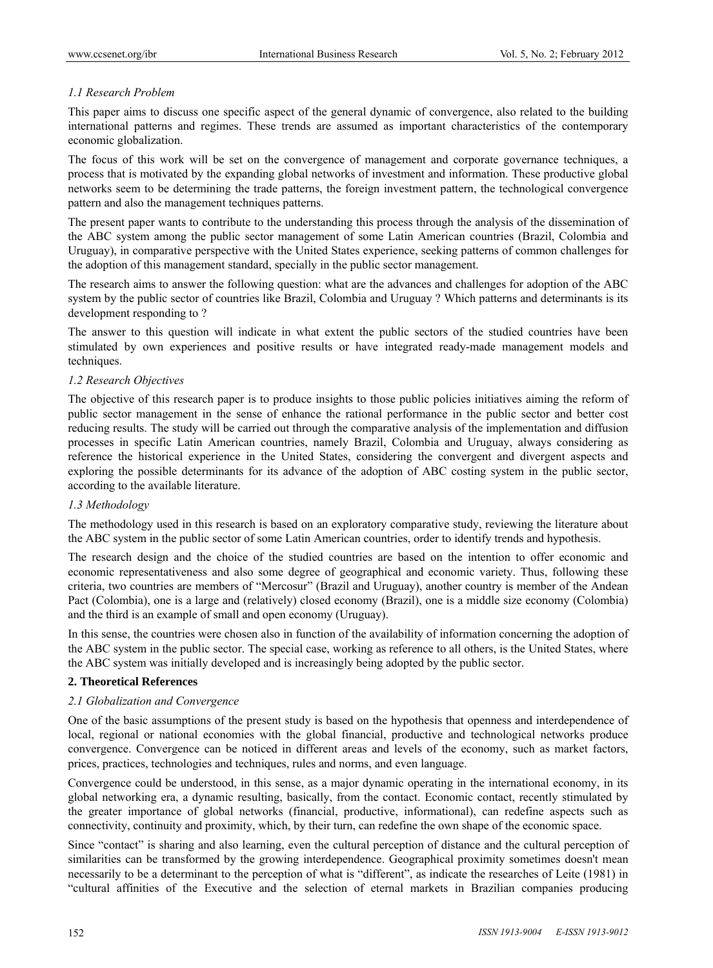#### *1.1 Research Problem*

This paper aims to discuss one specific aspect of the general dynamic of convergence, also related to the building international patterns and regimes. These trends are assumed as important characteristics of the contemporary economic globalization.

The focus of this work will be set on the convergence of management and corporate governance techniques, a process that is motivated by the expanding global networks of investment and information. These productive global networks seem to be determining the trade patterns, the foreign investment pattern, the technological convergence pattern and also the management techniques patterns.

The present paper wants to contribute to the understanding this process through the analysis of the dissemination of the ABC system among the public sector management of some Latin American countries (Brazil, Colombia and Uruguay), in comparative perspective with the United States experience, seeking patterns of common challenges for the adoption of this management standard, specially in the public sector management.

The research aims to answer the following question: what are the advances and challenges for adoption of the ABC system by the public sector of countries like Brazil, Colombia and Uruguay ? Which patterns and determinants is its development responding to ?

The answer to this question will indicate in what extent the public sectors of the studied countries have been stimulated by own experiences and positive results or have integrated ready-made management models and techniques.

#### *1.2 Research Objectives*

The objective of this research paper is to produce insights to those public policies initiatives aiming the reform of public sector management in the sense of enhance the rational performance in the public sector and better cost reducing results. The study will be carried out through the comparative analysis of the implementation and diffusion processes in specific Latin American countries, namely Brazil, Colombia and Uruguay, always considering as reference the historical experience in the United States, considering the convergent and divergent aspects and exploring the possible determinants for its advance of the adoption of ABC costing system in the public sector, according to the available literature.

#### *1.3 Methodology*

The methodology used in this research is based on an exploratory comparative study, reviewing the literature about the ABC system in the public sector of some Latin American countries, order to identify trends and hypothesis.

The research design and the choice of the studied countries are based on the intention to offer economic and economic representativeness and also some degree of geographical and economic variety. Thus, following these criteria, two countries are members of "Mercosur" (Brazil and Uruguay), another country is member of the Andean Pact (Colombia), one is a large and (relatively) closed economy (Brazil), one is a middle size economy (Colombia) and the third is an example of small and open economy (Uruguay).

In this sense, the countries were chosen also in function of the availability of information concerning the adoption of the ABC system in the public sector. The special case, working as reference to all others, is the United States, where the ABC system was initially developed and is increasingly being adopted by the public sector.

#### **2. Theoretical References**

#### *2.1 Globalization and Convergence*

One of the basic assumptions of the present study is based on the hypothesis that openness and interdependence of local, regional or national economies with the global financial, productive and technological networks produce convergence. Convergence can be noticed in different areas and levels of the economy, such as market factors, prices, practices, technologies and techniques, rules and norms, and even language.

Convergence could be understood, in this sense, as a major dynamic operating in the international economy, in its global networking era, a dynamic resulting, basically, from the contact. Economic contact, recently stimulated by the greater importance of global networks (financial, productive, informational), can redefine aspects such as connectivity, continuity and proximity, which, by their turn, can redefine the own shape of the economic space.

Since "contact" is sharing and also learning, even the cultural perception of distance and the cultural perception of similarities can be transformed by the growing interdependence. Geographical proximity sometimes doesn't mean necessarily to be a determinant to the perception of what is "different", as indicate the researches of Leite (1981) in "cultural affinities of the Executive and the selection of eternal markets in Brazilian companies producing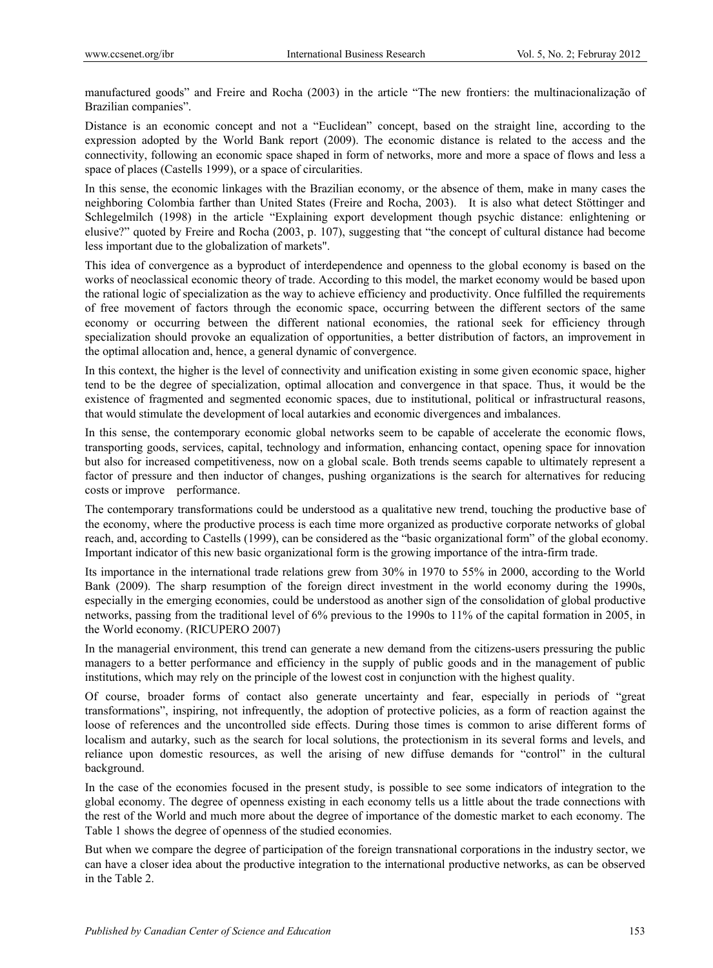manufactured goods" and Freire and Rocha (2003) in the article "The new frontiers: the multinacionalização of Brazilian companies".

Distance is an economic concept and not a "Euclidean" concept, based on the straight line, according to the expression adopted by the World Bank report (2009). The economic distance is related to the access and the connectivity, following an economic space shaped in form of networks, more and more a space of flows and less a space of places (Castells 1999), or a space of circularities.

In this sense, the economic linkages with the Brazilian economy, or the absence of them, make in many cases the neighboring Colombia farther than United States (Freire and Rocha, 2003). It is also what detect Stöttinger and Schlegelmilch (1998) in the article "Explaining export development though psychic distance: enlightening or elusive?" quoted by Freire and Rocha (2003, p. 107), suggesting that "the concept of cultural distance had become less important due to the globalization of markets".

This idea of convergence as a byproduct of interdependence and openness to the global economy is based on the works of neoclassical economic theory of trade. According to this model, the market economy would be based upon the rational logic of specialization as the way to achieve efficiency and productivity. Once fulfilled the requirements of free movement of factors through the economic space, occurring between the different sectors of the same economy or occurring between the different national economies, the rational seek for efficiency through specialization should provoke an equalization of opportunities, a better distribution of factors, an improvement in the optimal allocation and, hence, a general dynamic of convergence.

In this context, the higher is the level of connectivity and unification existing in some given economic space, higher tend to be the degree of specialization, optimal allocation and convergence in that space. Thus, it would be the existence of fragmented and segmented economic spaces, due to institutional, political or infrastructural reasons, that would stimulate the development of local autarkies and economic divergences and imbalances.

In this sense, the contemporary economic global networks seem to be capable of accelerate the economic flows, transporting goods, services, capital, technology and information, enhancing contact, opening space for innovation but also for increased competitiveness, now on a global scale. Both trends seems capable to ultimately represent a factor of pressure and then inductor of changes, pushing organizations is the search for alternatives for reducing costs or improve performance.

The contemporary transformations could be understood as a qualitative new trend, touching the productive base of the economy, where the productive process is each time more organized as productive corporate networks of global reach, and, according to Castells (1999), can be considered as the "basic organizational form" of the global economy. Important indicator of this new basic organizational form is the growing importance of the intra-firm trade.

Its importance in the international trade relations grew from 30% in 1970 to 55% in 2000, according to the World Bank (2009). The sharp resumption of the foreign direct investment in the world economy during the 1990s, especially in the emerging economies, could be understood as another sign of the consolidation of global productive networks, passing from the traditional level of 6% previous to the 1990s to 11% of the capital formation in 2005, in the World economy. (RICUPERO 2007)

In the managerial environment, this trend can generate a new demand from the citizens-users pressuring the public managers to a better performance and efficiency in the supply of public goods and in the management of public institutions, which may rely on the principle of the lowest cost in conjunction with the highest quality.

Of course, broader forms of contact also generate uncertainty and fear, especially in periods of "great transformations", inspiring, not infrequently, the adoption of protective policies, as a form of reaction against the loose of references and the uncontrolled side effects. During those times is common to arise different forms of localism and autarky, such as the search for local solutions, the protectionism in its several forms and levels, and reliance upon domestic resources, as well the arising of new diffuse demands for "control" in the cultural background.

In the case of the economies focused in the present study, is possible to see some indicators of integration to the global economy. The degree of openness existing in each economy tells us a little about the trade connections with the rest of the World and much more about the degree of importance of the domestic market to each economy. The Table 1 shows the degree of openness of the studied economies.

But when we compare the degree of participation of the foreign transnational corporations in the industry sector, we can have a closer idea about the productive integration to the international productive networks, as can be observed in the Table 2.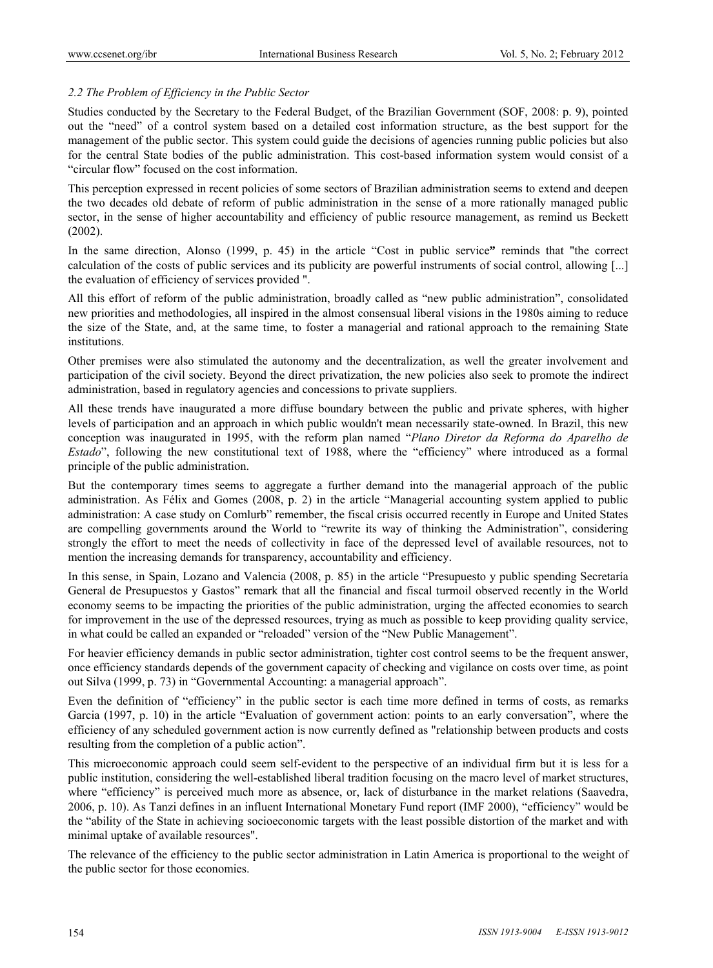#### *2.2 The Problem of Efficiency in the Public Sector*

Studies conducted by the Secretary to the Federal Budget, of the Brazilian Government (SOF, 2008: p. 9), pointed out the "need" of a control system based on a detailed cost information structure, as the best support for the management of the public sector. This system could guide the decisions of agencies running public policies but also for the central State bodies of the public administration. This cost-based information system would consist of a "circular flow" focused on the cost information.

This perception expressed in recent policies of some sectors of Brazilian administration seems to extend and deepen the two decades old debate of reform of public administration in the sense of a more rationally managed public sector, in the sense of higher accountability and efficiency of public resource management, as remind us Beckett (2002).

In the same direction, Alonso (1999, p. 45) in the article "Cost in public service**"** reminds that "the correct calculation of the costs of public services and its publicity are powerful instruments of social control, allowing [...] the evaluation of efficiency of services provided ".

All this effort of reform of the public administration, broadly called as "new public administration", consolidated new priorities and methodologies, all inspired in the almost consensual liberal visions in the 1980s aiming to reduce the size of the State, and, at the same time, to foster a managerial and rational approach to the remaining State institutions.

Other premises were also stimulated the autonomy and the decentralization, as well the greater involvement and participation of the civil society. Beyond the direct privatization, the new policies also seek to promote the indirect administration, based in regulatory agencies and concessions to private suppliers.

All these trends have inaugurated a more diffuse boundary between the public and private spheres, with higher levels of participation and an approach in which public wouldn't mean necessarily state-owned. In Brazil, this new conception was inaugurated in 1995, with the reform plan named "*Plano Diretor da Reforma do Aparelho de Estado*", following the new constitutional text of 1988, where the "efficiency" where introduced as a formal principle of the public administration.

But the contemporary times seems to aggregate a further demand into the managerial approach of the public administration. As Félix and Gomes (2008, p. 2) in the article "Managerial accounting system applied to public administration: A case study on Comlurb" remember, the fiscal crisis occurred recently in Europe and United States are compelling governments around the World to "rewrite its way of thinking the Administration", considering strongly the effort to meet the needs of collectivity in face of the depressed level of available resources, not to mention the increasing demands for transparency, accountability and efficiency.

In this sense, in Spain, Lozano and Valencia (2008, p. 85) in the article "Presupuesto y public spending Secretaría General de Presupuestos y Gastos" remark that all the financial and fiscal turmoil observed recently in the World economy seems to be impacting the priorities of the public administration, urging the affected economies to search for improvement in the use of the depressed resources, trying as much as possible to keep providing quality service, in what could be called an expanded or "reloaded" version of the "New Public Management".

For heavier efficiency demands in public sector administration, tighter cost control seems to be the frequent answer, once efficiency standards depends of the government capacity of checking and vigilance on costs over time, as point out Silva (1999, p. 73) in "Governmental Accounting: a managerial approach".

Even the definition of "efficiency" in the public sector is each time more defined in terms of costs, as remarks Garcia (1997, p. 10) in the article "Evaluation of government action: points to an early conversation", where the efficiency of any scheduled government action is now currently defined as "relationship between products and costs resulting from the completion of a public action".

This microeconomic approach could seem self-evident to the perspective of an individual firm but it is less for a public institution, considering the well-established liberal tradition focusing on the macro level of market structures, where "efficiency" is perceived much more as absence, or, lack of disturbance in the market relations (Saavedra, 2006, p. 10). As Tanzi defines in an influent International Monetary Fund report (IMF 2000), "efficiency" would be the "ability of the State in achieving socioeconomic targets with the least possible distortion of the market and with minimal uptake of available resources".

The relevance of the efficiency to the public sector administration in Latin America is proportional to the weight of the public sector for those economies.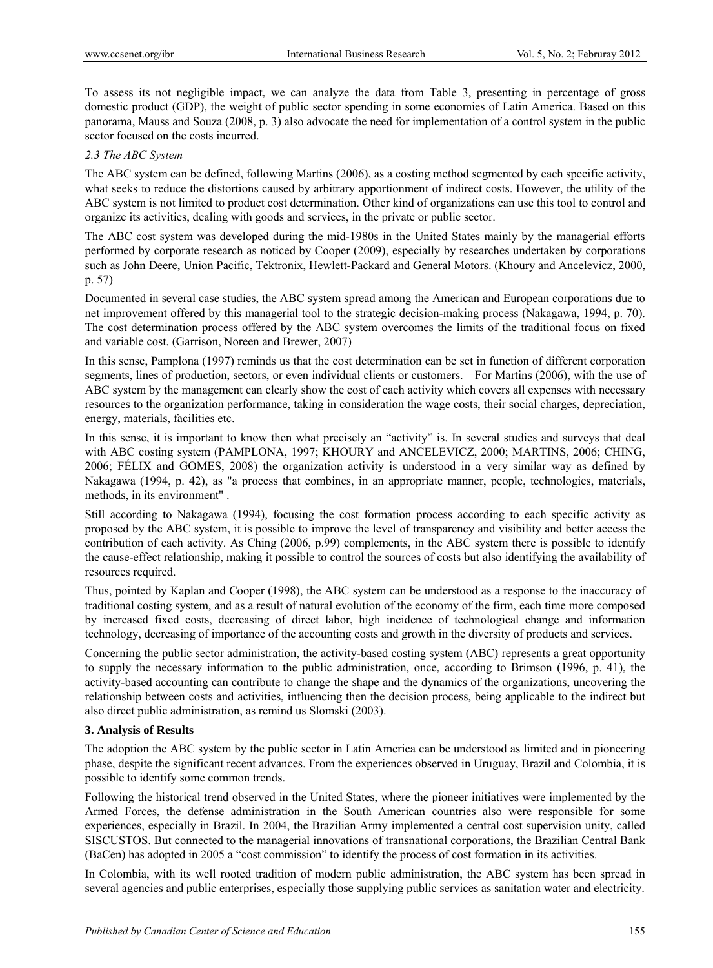To assess its not negligible impact, we can analyze the data from Table 3, presenting in percentage of gross domestic product (GDP), the weight of public sector spending in some economies of Latin America. Based on this panorama, Mauss and Souza (2008, p. 3) also advocate the need for implementation of a control system in the public sector focused on the costs incurred.

#### *2.3 The ABC System*

The ABC system can be defined, following Martins (2006), as a costing method segmented by each specific activity, what seeks to reduce the distortions caused by arbitrary apportionment of indirect costs. However, the utility of the ABC system is not limited to product cost determination. Other kind of organizations can use this tool to control and organize its activities, dealing with goods and services, in the private or public sector.

The ABC cost system was developed during the mid-1980s in the United States mainly by the managerial efforts performed by corporate research as noticed by Cooper (2009), especially by researches undertaken by corporations such as John Deere, Union Pacific, Tektronix, Hewlett-Packard and General Motors. (Khoury and Ancelevicz, 2000, p. 57)

Documented in several case studies, the ABC system spread among the American and European corporations due to net improvement offered by this managerial tool to the strategic decision-making process (Nakagawa, 1994, p. 70). The cost determination process offered by the ABC system overcomes the limits of the traditional focus on fixed and variable cost. (Garrison, Noreen and Brewer, 2007)

In this sense, Pamplona (1997) reminds us that the cost determination can be set in function of different corporation segments, lines of production, sectors, or even individual clients or customers. For Martins (2006), with the use of ABC system by the management can clearly show the cost of each activity which covers all expenses with necessary resources to the organization performance, taking in consideration the wage costs, their social charges, depreciation, energy, materials, facilities etc.

In this sense, it is important to know then what precisely an "activity" is. In several studies and surveys that deal with ABC costing system (PAMPLONA, 1997; KHOURY and ANCELEVICZ, 2000; MARTINS, 2006; CHING, 2006; FÉLIX and GOMES, 2008) the organization activity is understood in a very similar way as defined by Nakagawa (1994, p. 42), as "a process that combines, in an appropriate manner, people, technologies, materials, methods, in its environment" .

Still according to Nakagawa (1994), focusing the cost formation process according to each specific activity as proposed by the ABC system, it is possible to improve the level of transparency and visibility and better access the contribution of each activity. As Ching (2006, p.99) complements, in the ABC system there is possible to identify the cause-effect relationship, making it possible to control the sources of costs but also identifying the availability of resources required.

Thus, pointed by Kaplan and Cooper (1998), the ABC system can be understood as a response to the inaccuracy of traditional costing system, and as a result of natural evolution of the economy of the firm, each time more composed by increased fixed costs, decreasing of direct labor, high incidence of technological change and information technology, decreasing of importance of the accounting costs and growth in the diversity of products and services.

Concerning the public sector administration, the activity-based costing system (ABC) represents a great opportunity to supply the necessary information to the public administration, once, according to Brimson (1996, p. 41), the activity-based accounting can contribute to change the shape and the dynamics of the organizations, uncovering the relationship between costs and activities, influencing then the decision process, being applicable to the indirect but also direct public administration, as remind us Slomski (2003).

#### **3. Analysis of Results**

The adoption the ABC system by the public sector in Latin America can be understood as limited and in pioneering phase, despite the significant recent advances. From the experiences observed in Uruguay, Brazil and Colombia, it is possible to identify some common trends.

Following the historical trend observed in the United States, where the pioneer initiatives were implemented by the Armed Forces, the defense administration in the South American countries also were responsible for some experiences, especially in Brazil. In 2004, the Brazilian Army implemented a central cost supervision unity, called SISCUSTOS. But connected to the managerial innovations of transnational corporations, the Brazilian Central Bank (BaCen) has adopted in 2005 a "cost commission" to identify the process of cost formation in its activities.

In Colombia, with its well rooted tradition of modern public administration, the ABC system has been spread in several agencies and public enterprises, especially those supplying public services as sanitation water and electricity.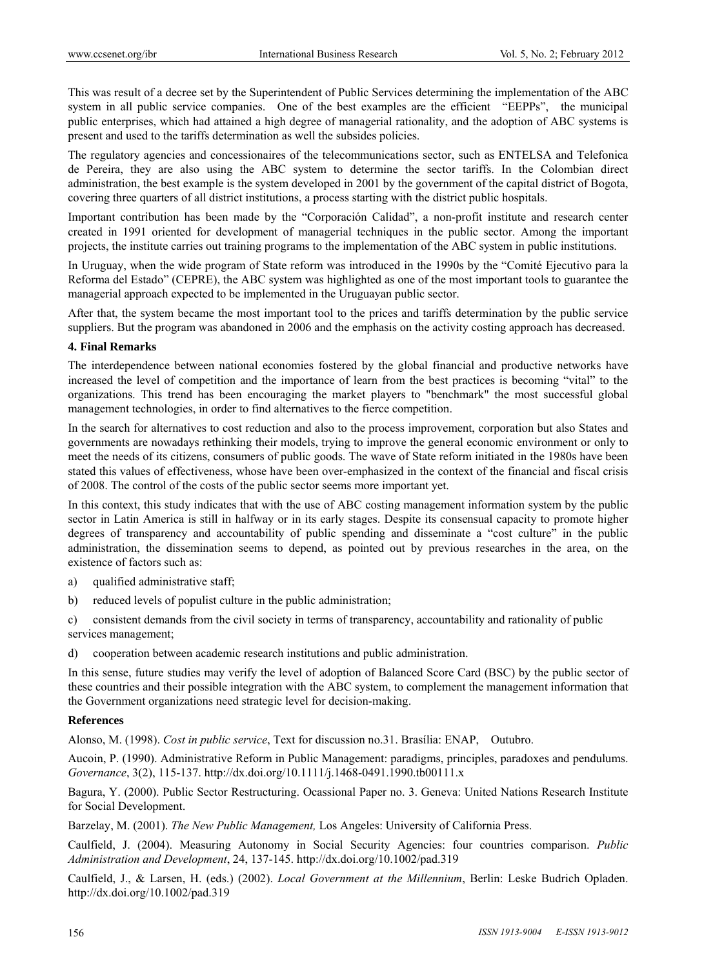This was result of a decree set by the Superintendent of Public Services determining the implementation of the ABC system in all public service companies. One of the best examples are the efficient "EEPPs", the municipal public enterprises, which had attained a high degree of managerial rationality, and the adoption of ABC systems is present and used to the tariffs determination as well the subsides policies.

The regulatory agencies and concessionaires of the telecommunications sector, such as ENTELSA and Telefonica de Pereira, they are also using the ABC system to determine the sector tariffs. In the Colombian direct administration, the best example is the system developed in 2001 by the government of the capital district of Bogota, covering three quarters of all district institutions, a process starting with the district public hospitals.

Important contribution has been made by the "Corporación Calidad", a non-profit institute and research center created in 1991 oriented for development of managerial techniques in the public sector. Among the important projects, the institute carries out training programs to the implementation of the ABC system in public institutions.

In Uruguay, when the wide program of State reform was introduced in the 1990s by the "Comité Ejecutivo para la Reforma del Estado" (CEPRE), the ABC system was highlighted as one of the most important tools to guarantee the managerial approach expected to be implemented in the Uruguayan public sector.

After that, the system became the most important tool to the prices and tariffs determination by the public service suppliers. But the program was abandoned in 2006 and the emphasis on the activity costing approach has decreased.

#### **4. Final Remarks**

The interdependence between national economies fostered by the global financial and productive networks have increased the level of competition and the importance of learn from the best practices is becoming "vital" to the organizations. This trend has been encouraging the market players to "benchmark" the most successful global management technologies, in order to find alternatives to the fierce competition.

In the search for alternatives to cost reduction and also to the process improvement, corporation but also States and governments are nowadays rethinking their models, trying to improve the general economic environment or only to meet the needs of its citizens, consumers of public goods. The wave of State reform initiated in the 1980s have been stated this values of effectiveness, whose have been over-emphasized in the context of the financial and fiscal crisis of 2008. The control of the costs of the public sector seems more important yet.

In this context, this study indicates that with the use of ABC costing management information system by the public sector in Latin America is still in halfway or in its early stages. Despite its consensual capacity to promote higher degrees of transparency and accountability of public spending and disseminate a "cost culture" in the public administration, the dissemination seems to depend, as pointed out by previous researches in the area, on the existence of factors such as:

- a) qualified administrative staff;
- b) reduced levels of populist culture in the public administration;

c) consistent demands from the civil society in terms of transparency, accountability and rationality of public services management;

d) cooperation between academic research institutions and public administration.

In this sense, future studies may verify the level of adoption of Balanced Score Card (BSC) by the public sector of these countries and their possible integration with the ABC system, to complement the management information that the Government organizations need strategic level for decision-making.

#### **References**

Alonso, M. (1998). *Cost in public service*, Text for discussion no.31. Brasília: ENAP, Outubro.

Aucoin, P. (1990). Administrative Reform in Public Management: paradigms, principles, paradoxes and pendulums. *Governance*, 3(2), 115-137. http://dx.doi.org/10.1111/j.1468-0491.1990.tb00111.x

Bagura, Y. (2000). Public Sector Restructuring. Ocassional Paper no. 3. Geneva: United Nations Research Institute for Social Development.

Barzelay, M. (2001). *The New Public Management,* Los Angeles: University of California Press.

Caulfield, J. (2004). Measuring Autonomy in Social Security Agencies: four countries comparison. *Public Administration and Development*, 24, 137-145. http://dx.doi.org/10.1002/pad.319

Caulfield, J., & Larsen, H. (eds.) (2002). *Local Government at the Millennium*, Berlin: Leske Budrich Opladen. http://dx.doi.org/10.1002/pad.319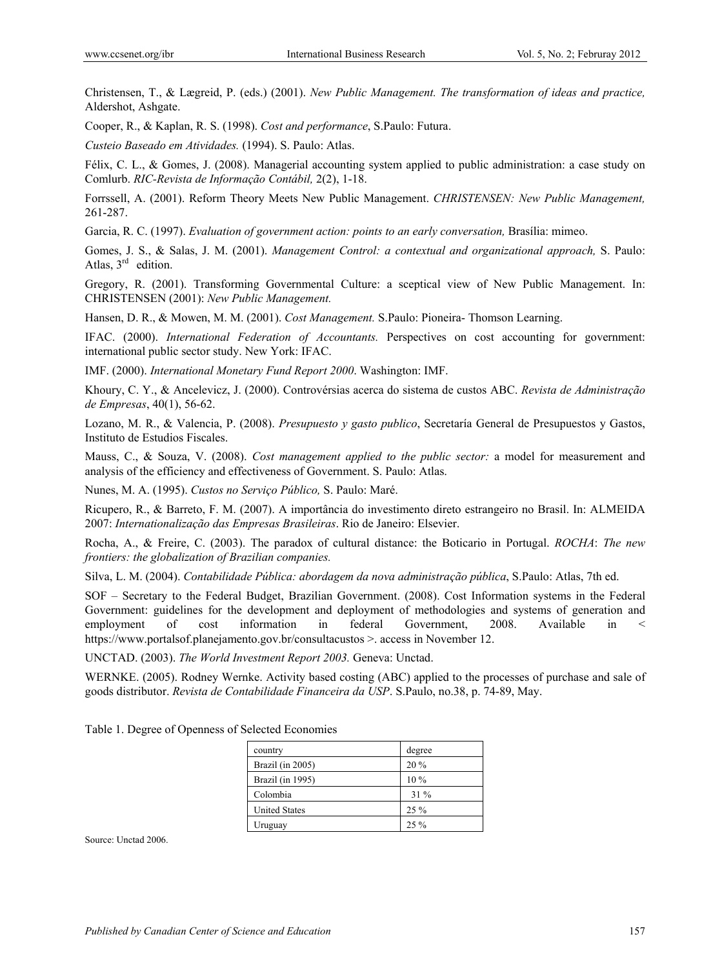Christensen, T., & Lægreid, P. (eds.) (2001). *New Public Management. The transformation of ideas and practice,*  Aldershot, Ashgate.

Cooper, R., & Kaplan, R. S. (1998). *Cost and performance*, S.Paulo: Futura.

*Custeio Baseado em Atividades.* (1994). S. Paulo: Atlas.

Félix, C. L., & Gomes, J. (2008). Managerial accounting system applied to public administration: a case study on Comlurb. *RIC-Revista de Informação Contábil,* 2(2), 1-18.

Forrssell, A. (2001). Reform Theory Meets New Public Management. *CHRISTENSEN: New Public Management,* 261-287.

Garcia, R. C. (1997). *Evaluation of government action: points to an early conversation*, Brasília: mimeo.

Gomes, J. S., & Salas, J. M. (2001). *Management Control: a contextual and organizational approach,* S. Paulo: Atlas,  $3<sup>rd</sup>$  edition.

Gregory, R. (2001). Transforming Governmental Culture: a sceptical view of New Public Management. In: CHRISTENSEN (2001): *New Public Management.*

Hansen, D. R., & Mowen, M. M. (2001). *Cost Management.* S.Paulo: Pioneira- Thomson Learning.

IFAC. (2000). *International Federation of Accountants.* Perspectives on cost accounting for government: international public sector study. New York: IFAC.

IMF. (2000). *International Monetary Fund Report 2000*. Washington: IMF.

Khoury, C. Y., & Ancelevicz, J. (2000). Controvérsias acerca do sistema de custos ABC. *Revista de Administração de Empresas*, 40(1), 56-62.

Lozano, M. R., & Valencia, P. (2008). *Presupuesto y gasto publico*, Secretaría General de Presupuestos y Gastos, Instituto de Estudios Fiscales.

Mauss, C., & Souza, V. (2008). *Cost management applied to the public sector:* a model for measurement and analysis of the efficiency and effectiveness of Government. S. Paulo: Atlas.

Nunes, M. A. (1995). *Custos no Serviço Público,* S. Paulo: Maré.

Ricupero, R., & Barreto, F. M. (2007). A importância do investimento direto estrangeiro no Brasil. In: ALMEIDA 2007: *Internationalização das Empresas Brasileiras*. Rio de Janeiro: Elsevier.

Rocha, A., & Freire, C. (2003). The paradox of cultural distance: the Boticario in Portugal. *ROCHA*: *The new frontiers: the globalization of Brazilian companies.*

Silva, L. M. (2004). *Contabilidade Pública: abordagem da nova administração pública*, S.Paulo: Atlas, 7th ed.

SOF – Secretary to the Federal Budget, Brazilian Government. (2008). Cost Information systems in the Federal Government: guidelines for the development and deployment of methodologies and systems of generation and employment of cost information in federal Government, 2008. Available in < https://www.portalsof.planejamento.gov.br/consultacustos >. access in November 12.

UNCTAD. (2003). *The World Investment Report 2003.* Geneva: Unctad.

WERNKE. (2005). Rodney Wernke. Activity based costing (ABC) applied to the processes of purchase and sale of goods distributor. *Revista de Contabilidade Financeira da USP*. S.Paulo, no.38, p. 74-89, May.

| Table 1. Degree of Openness of Selected Economies |
|---------------------------------------------------|
|---------------------------------------------------|

| country              | degree |
|----------------------|--------|
| Brazil (in 2005)     | 20%    |
| Brazil (in 1995)     | $10\%$ |
| Colombia             | $31\%$ |
| <b>United States</b> | $25\%$ |
| Uruguay              | $25\%$ |

Source: Unctad 2006.